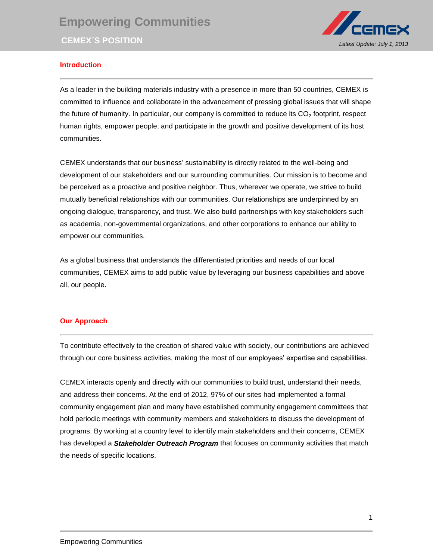

## **Introduction**

As a leader in the building materials industry with a presence in more than 50 countries, CEMEX is committed to influence and collaborate in the advancement of pressing global issues that will shape the future of humanity. In particular, our company is committed to reduce its  $CO<sub>2</sub>$  footprint, respect human rights, empower people, and participate in the growth and positive development of its host communities.

CEMEX understands that our business' sustainability is directly related to the well-being and development of our stakeholders and our surrounding communities. Our mission is to become and be perceived as a proactive and positive neighbor. Thus, wherever we operate, we strive to build mutually beneficial relationships with our communities. Our relationships are underpinned by an ongoing dialogue, transparency, and trust. We also build partnerships with key stakeholders such as academia, non-governmental organizations, and other corporations to enhance our ability to empower our communities.

As a global business that understands the differentiated priorities and needs of our local communities, CEMEX aims to add public value by leveraging our business capabilities and above all, our people.

## **Our Approach**

To contribute effectively to the creation of shared value with society, our contributions are achieved through our core business activities, making the most of our employees' expertise and capabilities.

CEMEX interacts openly and directly with our communities to build trust, understand their needs, and address their concerns. At the end of 2012, 97% of our sites had implemented a formal community engagement plan and many have established community engagement committees that hold periodic meetings with community members and stakeholders to discuss the development of programs. By working at a country level to identify main stakeholders and their concerns, CEMEX has developed a *Stakeholder Outreach Program* that focuses on community activities that match the needs of specific locations.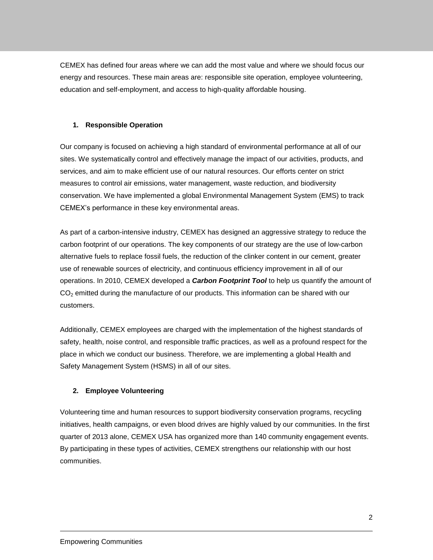CEMEX has defined four areas where we can add the most value and where we should focus our energy and resources. These main areas are: responsible site operation, employee volunteering, education and self-employment, and access to high-quality affordable housing.

## **1. Responsible Operation**

Our company is focused on achieving a high standard of environmental performance at all of our sites. We systematically control and effectively manage the impact of our activities, products, and services, and aim to make efficient use of our natural resources. Our efforts center on strict measures to control air emissions, water management, waste reduction, and biodiversity conservation. We have implemented a global Environmental Management System (EMS) to track CEMEX's performance in these key environmental areas.

As part of a carbon-intensive industry, CEMEX has designed an aggressive strategy to reduce the carbon footprint of our operations. The key components of our strategy are the use of low-carbon alternative fuels to replace fossil fuels, the reduction of the clinker content in our cement, greater use of renewable sources of electricity, and continuous efficiency improvement in all of our operations. In 2010, CEMEX developed a *Carbon Footprint Tool* to help us quantify the amount of CO<sub>2</sub> emitted during the manufacture of our products. This information can be shared with our customers.

Additionally, CEMEX employees are charged with the implementation of the highest standards of safety, health, noise control, and responsible traffic practices, as well as a profound respect for the place in which we conduct our business. Therefore, we are implementing a global Health and Safety Management System (HSMS) in all of our sites.

# **2. Employee Volunteering**

Volunteering time and human resources to support biodiversity conservation programs, recycling initiatives, health campaigns, or even blood drives are highly valued by our communities. In the first quarter of 2013 alone, CEMEX USA has organized more than 140 community engagement events. By participating in these types of activities, CEMEX strengthens our relationship with our host communities.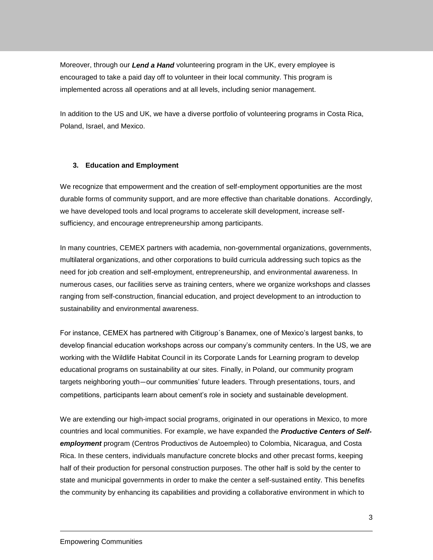Moreover, through our *Lend a Hand* volunteering program in the UK, every employee is encouraged to take a paid day off to volunteer in their local community. This program is implemented across all operations and at all levels, including senior management.

In addition to the US and UK, we have a diverse portfolio of volunteering programs in Costa Rica, Poland, Israel, and Mexico.

## **3. Education and Employment**

We recognize that empowerment and the creation of self-employment opportunities are the most durable forms of community support, and are more effective than charitable donations. Accordingly, we have developed tools and local programs to accelerate skill development, increase selfsufficiency, and encourage entrepreneurship among participants.

In many countries, CEMEX partners with academia, non-governmental organizations, governments, multilateral organizations, and other corporations to build curricula addressing such topics as the need for job creation and self-employment, entrepreneurship, and environmental awareness. In numerous cases, our facilities serve as training centers, where we organize workshops and classes ranging from self-construction, financial education, and project development to an introduction to sustainability and environmental awareness.

For instance, CEMEX has partnered with Citigroup´s Banamex, one of Mexico's largest banks, to develop financial education workshops across our company's community centers. In the US, we are working with the Wildlife Habitat Council in its Corporate Lands for Learning program to develop educational programs on sustainability at our sites. Finally, in Poland, our community program targets neighboring youth—our communities' future leaders. Through presentations, tours, and competitions, participants learn about cement's role in society and sustainable development.

We are extending our high-impact social programs, originated in our operations in Mexico, to more countries and local communities. For example, we have expanded the *Productive Centers of Selfemployment* program (Centros Productivos de Autoempleo) to Colombia, Nicaragua, and Costa Rica. In these centers, individuals manufacture concrete blocks and other precast forms, keeping half of their production for personal construction purposes. The other half is sold by the center to state and municipal governments in order to make the center a self-sustained entity. This benefits the community by enhancing its capabilities and providing a collaborative environment in which to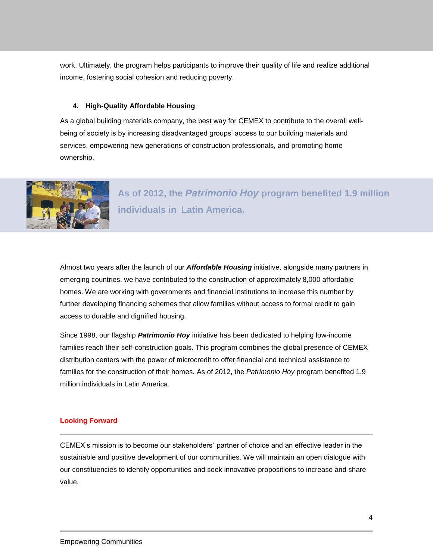work. Ultimately, the program helps participants to improve their quality of life and realize additional income, fostering social cohesion and reducing poverty.

### **4. High-Quality Affordable Housing**

As a global building materials company, the best way for CEMEX to contribute to the overall wellbeing of society is by increasing disadvantaged groups' access to our building materials and services, empowering new generations of construction professionals, and promoting home ownership.



**As of 2012, the** *Patrimonio Hoy* **program benefited 1.9 million individuals in Latin America.**

Almost two years after the launch of our *Affordable Housing* initiative, alongside many partners in emerging countries, we have contributed to the construction of approximately 8,000 affordable homes. We are working with governments and financial institutions to increase this number by further developing financing schemes that allow families without access to formal credit to gain access to durable and dignified housing.

Since 1998, our flagship *Patrimonio Hoy* initiative has been dedicated to helping low-income families reach their self-construction goals. This program combines the global presence of CEMEX distribution centers with the power of microcredit to offer financial and technical assistance to families for the construction of their homes. As of 2012, the *Patrimonio Hoy* program benefited 1.9 million individuals in Latin America.

#### **Looking Forward**

CEMEX's mission is to become our stakeholders´ partner of choice and an effective leader in the sustainable and positive development of our communities. We will maintain an open dialogue with our constituencies to identify opportunities and seek innovative propositions to increase and share value.